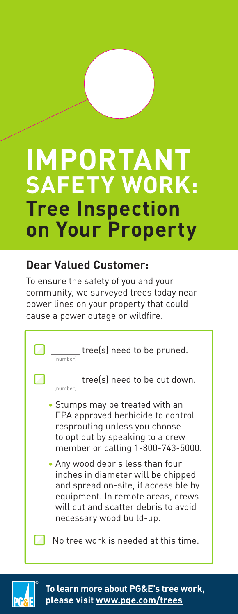# **IMPORTANT SAFETY WORK: Tree Inspection on Your Property**

# **Dear Valued Customer:**

To ensure the safety of you and your community, we surveyed trees today near power lines on your property that could cause a power outage or wildfire.

> **tree(s)** need to be pruned. (number)

**tree(s)** need to be cut down. (number)

• Stumps may be treated with an EPA approved herbicide to control resprouting unless you choose to opt out by speaking to a crew member or calling 1-800-743-5000.

• Any wood debris less than four inches in diameter will be chipped and spread on-site, if accessible by equipment. In remote areas, crews will cut and scatter debris to avoid necessary wood build-up.

 $\Box$  No tree work is needed at this time.

**To learn more about PG&E's tree work, please visit [www.pge.com/trees](http://www.pge.com/trees)**